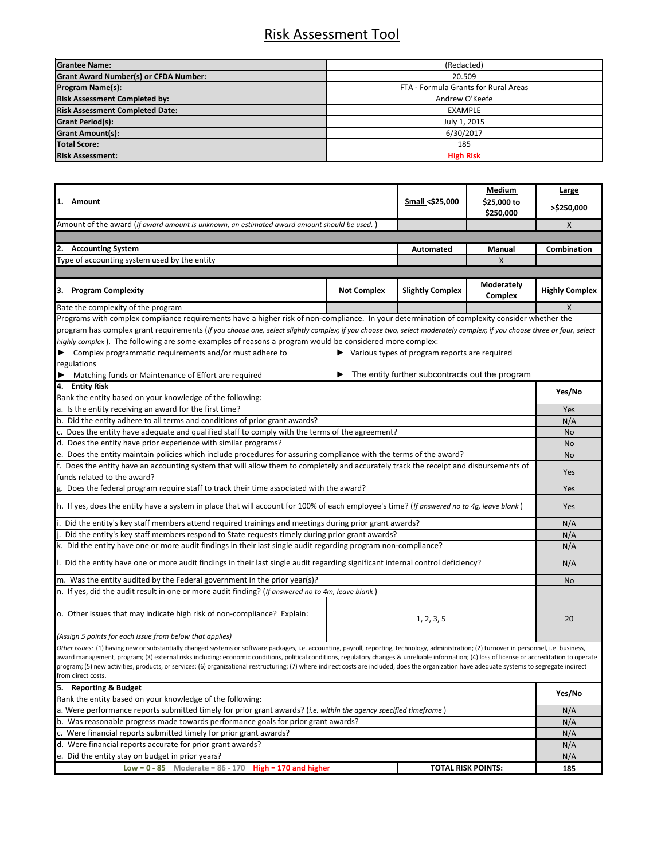## Risk Assessment Tool

| <b>Grantee Name:</b>                         | (Redacted)                           |  |  |
|----------------------------------------------|--------------------------------------|--|--|
| <b>Grant Award Number(s) or CFDA Number:</b> | 20.509                               |  |  |
| <b>Program Name(s):</b>                      | FTA - Formula Grants for Rural Areas |  |  |
| <b>Risk Assessment Completed by:</b>         | Andrew O'Keefe                       |  |  |
| <b>Risk Assessment Completed Date:</b>       | <b>EXAMPLE</b>                       |  |  |
| <b>Grant Period(s):</b>                      | July 1, 2015                         |  |  |
| <b>Grant Amount(s):</b>                      | 6/30/2017                            |  |  |
| <b>Total Score:</b>                          | 185                                  |  |  |
| <b>Risk Assessment:</b>                      | <b>High Risk</b>                     |  |  |

| 1. Amount                                                                                                                                                                                                                                                                                                                                                                                                                                                                                                                                                                                                                  |                           | Small <\$25,000                                                     | Medium                       | Large                 |  |
|----------------------------------------------------------------------------------------------------------------------------------------------------------------------------------------------------------------------------------------------------------------------------------------------------------------------------------------------------------------------------------------------------------------------------------------------------------------------------------------------------------------------------------------------------------------------------------------------------------------------------|---------------------------|---------------------------------------------------------------------|------------------------------|-----------------------|--|
|                                                                                                                                                                                                                                                                                                                                                                                                                                                                                                                                                                                                                            |                           |                                                                     | \$25,000 to                  | >\$250,000            |  |
|                                                                                                                                                                                                                                                                                                                                                                                                                                                                                                                                                                                                                            |                           |                                                                     | \$250,000                    |                       |  |
| Amount of the award (If award amount is unknown, an estimated award amount should be used.)                                                                                                                                                                                                                                                                                                                                                                                                                                                                                                                                |                           |                                                                     | X                            |                       |  |
|                                                                                                                                                                                                                                                                                                                                                                                                                                                                                                                                                                                                                            |                           |                                                                     |                              |                       |  |
| 2. Accounting System                                                                                                                                                                                                                                                                                                                                                                                                                                                                                                                                                                                                       |                           | <b>Automated</b>                                                    | Manual                       | Combination           |  |
| Type of accounting system used by the entity                                                                                                                                                                                                                                                                                                                                                                                                                                                                                                                                                                               |                           |                                                                     | $\mathsf{X}$                 |                       |  |
|                                                                                                                                                                                                                                                                                                                                                                                                                                                                                                                                                                                                                            |                           |                                                                     |                              |                       |  |
| 3. Program Complexity                                                                                                                                                                                                                                                                                                                                                                                                                                                                                                                                                                                                      | <b>Not Complex</b>        | <b>Slightly Complex</b>                                             | <b>Moderately</b><br>Complex | <b>Highly Complex</b> |  |
| Rate the complexity of the program                                                                                                                                                                                                                                                                                                                                                                                                                                                                                                                                                                                         |                           |                                                                     |                              | X                     |  |
| Programs with complex compliance requirements have a higher risk of non-compliance. In your determination of complexity consider whether the                                                                                                                                                                                                                                                                                                                                                                                                                                                                               |                           |                                                                     |                              |                       |  |
| program has complex grant requirements (If you choose one, select slightly complex; if you choose two, select moderately complex; if you choose three or four, select                                                                                                                                                                                                                                                                                                                                                                                                                                                      |                           |                                                                     |                              |                       |  |
| highly complex). The following are some examples of reasons a program would be considered more complex:                                                                                                                                                                                                                                                                                                                                                                                                                                                                                                                    |                           |                                                                     |                              |                       |  |
| $\blacktriangleright$ Complex programmatic requirements and/or must adhere to                                                                                                                                                                                                                                                                                                                                                                                                                                                                                                                                              |                           | $\blacktriangleright$ Various types of program reports are required |                              |                       |  |
| regulations                                                                                                                                                                                                                                                                                                                                                                                                                                                                                                                                                                                                                |                           |                                                                     |                              |                       |  |
| Matching funds or Maintenance of Effort are required                                                                                                                                                                                                                                                                                                                                                                                                                                                                                                                                                                       |                           | The entity further subcontracts out the program                     |                              |                       |  |
| 4. Entity Risk                                                                                                                                                                                                                                                                                                                                                                                                                                                                                                                                                                                                             |                           |                                                                     |                              | Yes/No                |  |
| Rank the entity based on your knowledge of the following:                                                                                                                                                                                                                                                                                                                                                                                                                                                                                                                                                                  |                           |                                                                     |                              |                       |  |
| a. Is the entity receiving an award for the first time?                                                                                                                                                                                                                                                                                                                                                                                                                                                                                                                                                                    |                           |                                                                     |                              | Yes<br>N/A            |  |
| b. Did the entity adhere to all terms and conditions of prior grant awards?                                                                                                                                                                                                                                                                                                                                                                                                                                                                                                                                                |                           |                                                                     |                              |                       |  |
| c. Does the entity have adequate and qualified staff to comply with the terms of the agreement?                                                                                                                                                                                                                                                                                                                                                                                                                                                                                                                            |                           |                                                                     |                              |                       |  |
| d. Does the entity have prior experience with similar programs?                                                                                                                                                                                                                                                                                                                                                                                                                                                                                                                                                            |                           |                                                                     |                              |                       |  |
| e. Does the entity maintain policies which include procedures for assuring compliance with the terms of the award?                                                                                                                                                                                                                                                                                                                                                                                                                                                                                                         |                           |                                                                     |                              |                       |  |
| f. Does the entity have an accounting system that will allow them to completely and accurately track the receipt and disbursements of                                                                                                                                                                                                                                                                                                                                                                                                                                                                                      |                           |                                                                     |                              |                       |  |
| funds related to the award?                                                                                                                                                                                                                                                                                                                                                                                                                                                                                                                                                                                                |                           |                                                                     |                              |                       |  |
| g. Does the federal program require staff to track their time associated with the award?                                                                                                                                                                                                                                                                                                                                                                                                                                                                                                                                   |                           |                                                                     |                              |                       |  |
| h. If yes, does the entity have a system in place that will account for 100% of each employee's time? (If answered no to 4g, leave blank)                                                                                                                                                                                                                                                                                                                                                                                                                                                                                  |                           |                                                                     |                              |                       |  |
| Did the entity's key staff members attend required trainings and meetings during prior grant awards?                                                                                                                                                                                                                                                                                                                                                                                                                                                                                                                       |                           |                                                                     |                              |                       |  |
| Did the entity's key staff members respond to State requests timely during prior grant awards?                                                                                                                                                                                                                                                                                                                                                                                                                                                                                                                             |                           |                                                                     |                              |                       |  |
| k. Did the entity have one or more audit findings in their last single audit regarding program non-compliance?                                                                                                                                                                                                                                                                                                                                                                                                                                                                                                             |                           |                                                                     |                              |                       |  |
| l. Did the entity have one or more audit findings in their last single audit regarding significant internal control deficiency?                                                                                                                                                                                                                                                                                                                                                                                                                                                                                            |                           |                                                                     |                              | N/A                   |  |
| m. Was the entity audited by the Federal government in the prior year(s)?                                                                                                                                                                                                                                                                                                                                                                                                                                                                                                                                                  |                           |                                                                     |                              |                       |  |
| n. If yes, did the audit result in one or more audit finding? (If answered no to 4m, leave blank)                                                                                                                                                                                                                                                                                                                                                                                                                                                                                                                          |                           |                                                                     |                              |                       |  |
| o. Other issues that may indicate high risk of non-compliance? Explain:<br>1, 2, 3, 5                                                                                                                                                                                                                                                                                                                                                                                                                                                                                                                                      |                           |                                                                     | 20                           |                       |  |
| (Assign 5 points for each issue from below that applies)                                                                                                                                                                                                                                                                                                                                                                                                                                                                                                                                                                   |                           |                                                                     |                              |                       |  |
| Other issues: (1) having new or substantially changed systems or software packages, i.e. accounting, payroll, reporting, technology, administration; (2) turnover in personnel, i.e. business,<br>award management, program; (3) external risks including: economic conditions, political conditions, regulatory changes & unreliable information; (4) loss of license or accreditation to operate<br>program; (5) new activities, products, or services; (6) organizational restructuring; (7) where indirect costs are included, does the organization have adequate systems to segregate indirect<br>from direct costs. |                           |                                                                     |                              |                       |  |
| 5. Reporting & Budget                                                                                                                                                                                                                                                                                                                                                                                                                                                                                                                                                                                                      |                           |                                                                     |                              |                       |  |
| Rank the entity based on your knowledge of the following:                                                                                                                                                                                                                                                                                                                                                                                                                                                                                                                                                                  |                           |                                                                     |                              | Yes/No                |  |
| a. Were performance reports submitted timely for prior grant awards? (i.e. within the agency specified timeframe)                                                                                                                                                                                                                                                                                                                                                                                                                                                                                                          |                           |                                                                     |                              | N/A                   |  |
| b. Was reasonable progress made towards performance goals for prior grant awards?                                                                                                                                                                                                                                                                                                                                                                                                                                                                                                                                          |                           |                                                                     |                              | N/A                   |  |
| c. Were financial reports submitted timely for prior grant awards?                                                                                                                                                                                                                                                                                                                                                                                                                                                                                                                                                         |                           |                                                                     |                              | N/A                   |  |
| d. Were financial reports accurate for prior grant awards?                                                                                                                                                                                                                                                                                                                                                                                                                                                                                                                                                                 |                           |                                                                     |                              | N/A                   |  |
| e. Did the entity stay on budget in prior years?                                                                                                                                                                                                                                                                                                                                                                                                                                                                                                                                                                           |                           |                                                                     |                              | N/A                   |  |
| Low = $0 - 85$ Moderate = $86 - 170$ High = 170 and higher                                                                                                                                                                                                                                                                                                                                                                                                                                                                                                                                                                 | <b>TOTAL RISK POINTS:</b> |                                                                     | 185                          |                       |  |